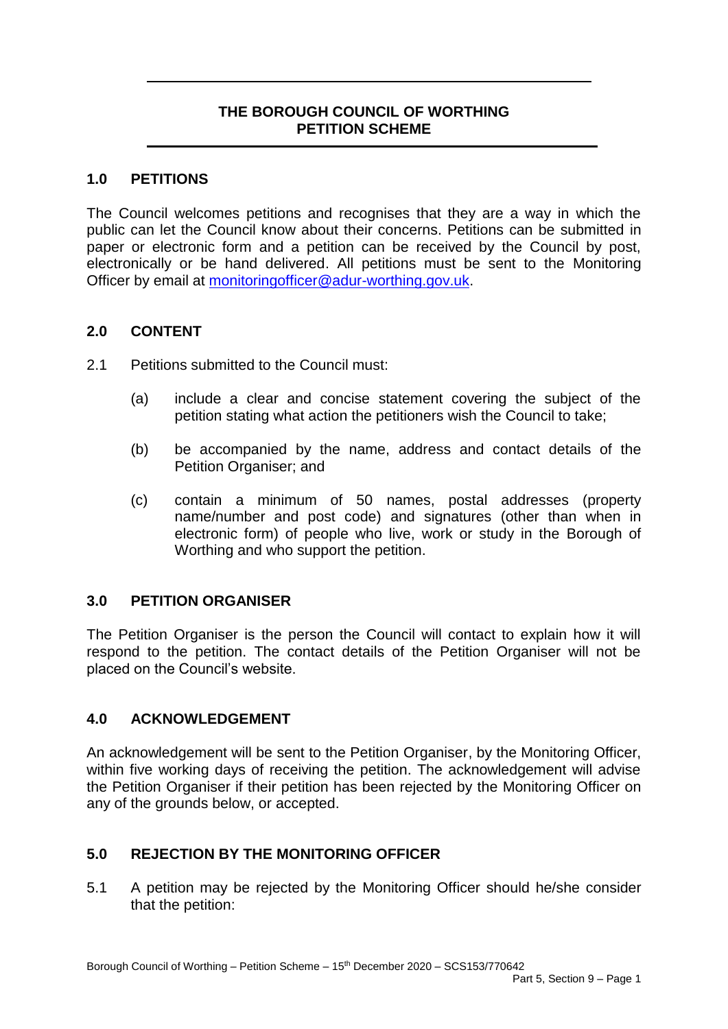# **THE BOROUGH COUNCIL OF WORTHING PETITION SCHEME**

### **1.0 PETITIONS**

The Council welcomes petitions and recognises that they are a way in which the public can let the Council know about their concerns. Petitions can be submitted in paper or electronic form and a petition can be received by the Council by post, electronically or be hand delivered. All petitions must be sent to the Monitoring Officer by email at [monitoringofficer@adur-worthing.gov.uk.](mailto:monitoringofficer@adur-worthing.gov.uk)

### **2.0 CONTENT**

- 2.1 Petitions submitted to the Council must:
	- (a) include a clear and concise statement covering the subject of the petition stating what action the petitioners wish the Council to take;
	- (b) be accompanied by the name, address and contact details of the Petition Organiser; and
	- (c) contain a minimum of 50 names, postal addresses (property name/number and post code) and signatures (other than when in electronic form) of people who live, work or study in the Borough of Worthing and who support the petition.

# **3.0 PETITION ORGANISER**

The Petition Organiser is the person the Council will contact to explain how it will respond to the petition. The contact details of the Petition Organiser will not be placed on the Council's website.

### **4.0 ACKNOWLEDGEMENT**

An acknowledgement will be sent to the Petition Organiser, by the Monitoring Officer, within five working days of receiving the petition. The acknowledgement will advise the Petition Organiser if their petition has been rejected by the Monitoring Officer on any of the grounds below, or accepted.

# **5.0 REJECTION BY THE MONITORING OFFICER**

5.1 A petition may be rejected by the Monitoring Officer should he/she consider that the petition: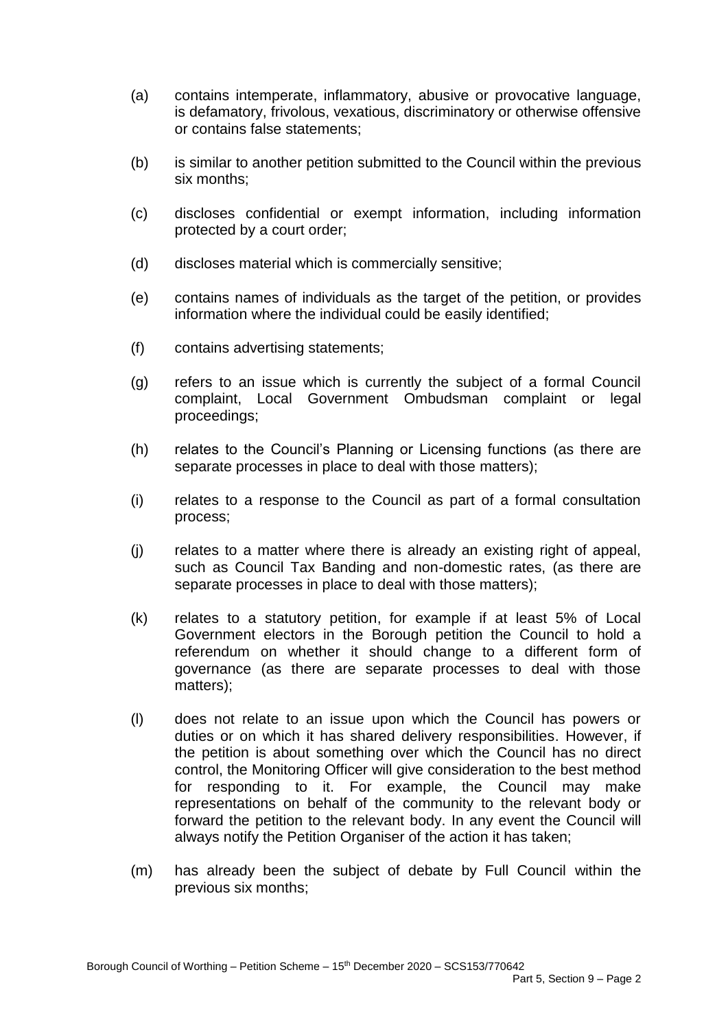- (a) contains intemperate, inflammatory, abusive or provocative language, is defamatory, frivolous, vexatious, discriminatory or otherwise offensive or contains false statements;
- (b) is similar to another petition submitted to the Council within the previous six months;
- (c) discloses confidential or exempt information, including information protected by a court order;
- (d) discloses material which is commercially sensitive;
- (e) contains names of individuals as the target of the petition, or provides information where the individual could be easily identified;
- (f) contains advertising statements;
- (g) refers to an issue which is currently the subject of a formal Council complaint, Local Government Ombudsman complaint or legal proceedings;
- (h) relates to the Council's Planning or Licensing functions (as there are separate processes in place to deal with those matters);
- (i) relates to a response to the Council as part of a formal consultation process;
- (j) relates to a matter where there is already an existing right of appeal, such as Council Tax Banding and non-domestic rates, (as there are separate processes in place to deal with those matters);
- (k) relates to a statutory petition, for example if at least 5% of Local Government electors in the Borough petition the Council to hold a referendum on whether it should change to a different form of governance (as there are separate processes to deal with those matters);
- (l) does not relate to an issue upon which the Council has powers or duties or on which it has shared delivery responsibilities. However, if the petition is about something over which the Council has no direct control, the Monitoring Officer will give consideration to the best method for responding to it. For example, the Council may make representations on behalf of the community to the relevant body or forward the petition to the relevant body. In any event the Council will always notify the Petition Organiser of the action it has taken;
- (m) has already been the subject of debate by Full Council within the previous six months;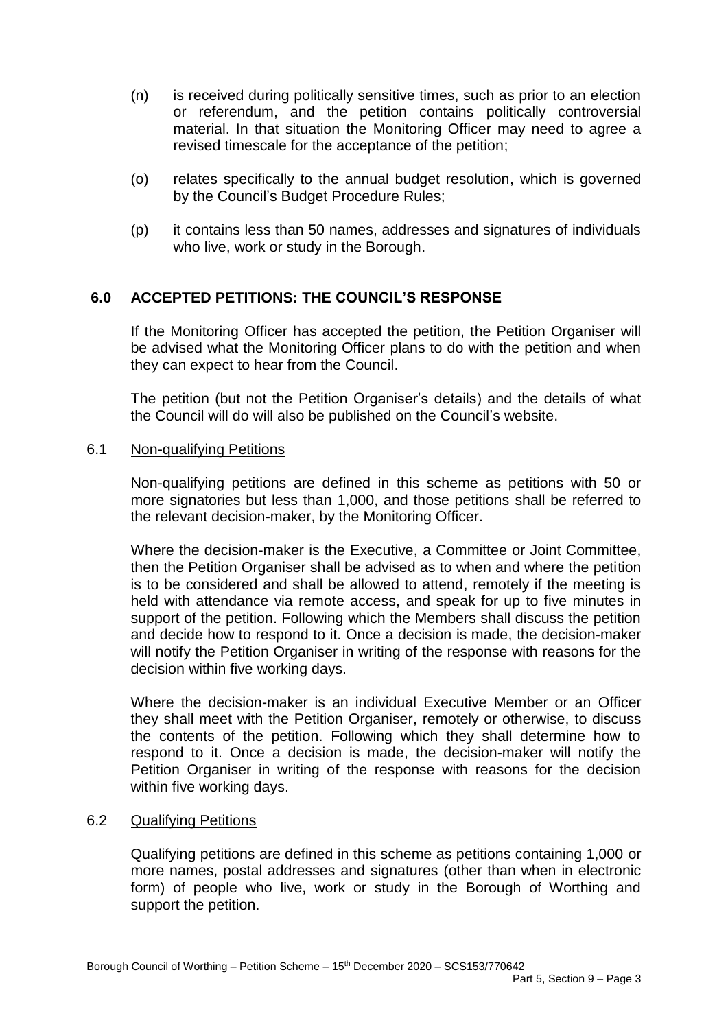- (n) is received during politically sensitive times, such as prior to an election or referendum, and the petition contains politically controversial material. In that situation the Monitoring Officer may need to agree a revised timescale for the acceptance of the petition;
- (o) relates specifically to the annual budget resolution, which is governed by the Council's Budget Procedure Rules;
- (p) it contains less than 50 names, addresses and signatures of individuals who live, work or study in the Borough.

# **6.0 ACCEPTED PETITIONS: THE COUNCIL'S RESPONSE**

If the Monitoring Officer has accepted the petition, the Petition Organiser will be advised what the Monitoring Officer plans to do with the petition and when they can expect to hear from the Council.

The petition (but not the Petition Organiser's details) and the details of what the Council will do will also be published on the Council's website.

#### 6.1 Non-qualifying Petitions

Non-qualifying petitions are defined in this scheme as petitions with 50 or more signatories but less than 1,000, and those petitions shall be referred to the relevant decision-maker, by the Monitoring Officer.

Where the decision-maker is the Executive, a Committee or Joint Committee, then the Petition Organiser shall be advised as to when and where the petition is to be considered and shall be allowed to attend, remotely if the meeting is held with attendance via remote access, and speak for up to five minutes in support of the petition. Following which the Members shall discuss the petition and decide how to respond to it. Once a decision is made, the decision-maker will notify the Petition Organiser in writing of the response with reasons for the decision within five working days.

Where the decision-maker is an individual Executive Member or an Officer they shall meet with the Petition Organiser, remotely or otherwise, to discuss the contents of the petition. Following which they shall determine how to respond to it. Once a decision is made, the decision-maker will notify the Petition Organiser in writing of the response with reasons for the decision within five working days.

### 6.2 Qualifying Petitions

Qualifying petitions are defined in this scheme as petitions containing 1,000 or more names, postal addresses and signatures (other than when in electronic form) of people who live, work or study in the Borough of Worthing and support the petition.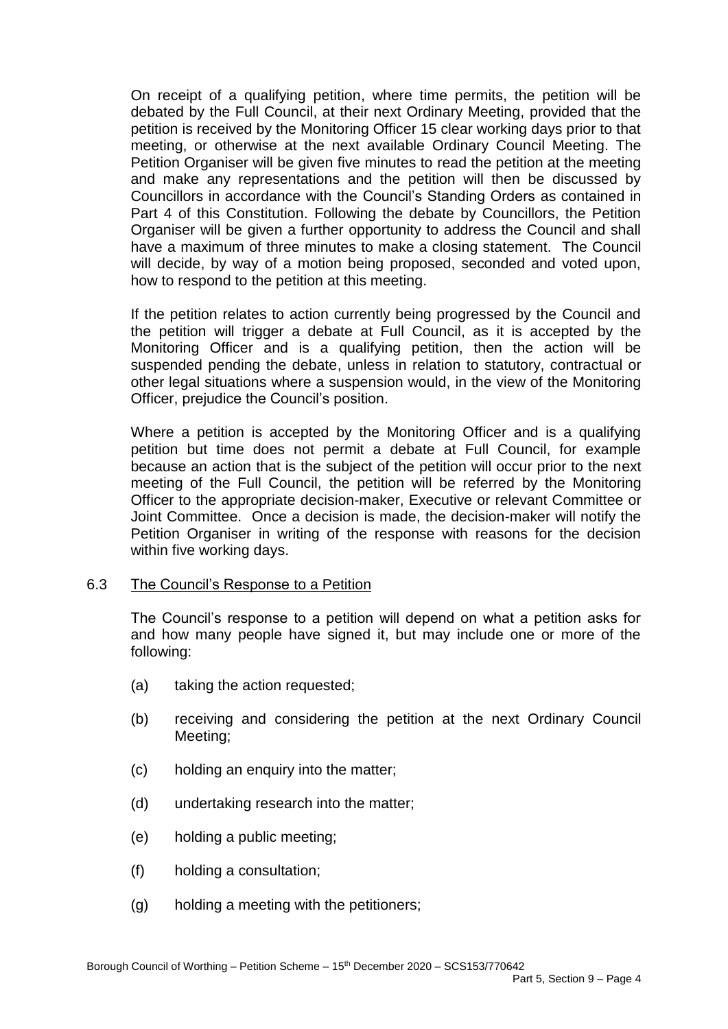On receipt of a qualifying petition, where time permits, the petition will be debated by the Full Council, at their next Ordinary Meeting, provided that the petition is received by the Monitoring Officer 15 clear working days prior to that meeting, or otherwise at the next available Ordinary Council Meeting. The Petition Organiser will be given five minutes to read the petition at the meeting and make any representations and the petition will then be discussed by Councillors in accordance with the Council's Standing Orders as contained in Part 4 of this Constitution. Following the debate by Councillors, the Petition Organiser will be given a further opportunity to address the Council and shall have a maximum of three minutes to make a closing statement. The Council will decide, by way of a motion being proposed, seconded and voted upon, how to respond to the petition at this meeting.

If the petition relates to action currently being progressed by the Council and the petition will trigger a debate at Full Council, as it is accepted by the Monitoring Officer and is a qualifying petition, then the action will be suspended pending the debate, unless in relation to statutory, contractual or other legal situations where a suspension would, in the view of the Monitoring Officer, prejudice the Council's position.

Where a petition is accepted by the Monitoring Officer and is a qualifying petition but time does not permit a debate at Full Council, for example because an action that is the subject of the petition will occur prior to the next meeting of the Full Council, the petition will be referred by the Monitoring Officer to the appropriate decision-maker, Executive or relevant Committee or Joint Committee. Once a decision is made, the decision-maker will notify the Petition Organiser in writing of the response with reasons for the decision within five working days.

### 6.3 The Council's Response to a Petition

The Council's response to a petition will depend on what a petition asks for and how many people have signed it, but may include one or more of the following:

- (a) taking the action requested;
- (b) receiving and considering the petition at the next Ordinary Council Meeting;
- (c) holding an enquiry into the matter;
- (d) undertaking research into the matter;
- (e) holding a public meeting;
- (f) holding a consultation;
- (g) holding a meeting with the petitioners;